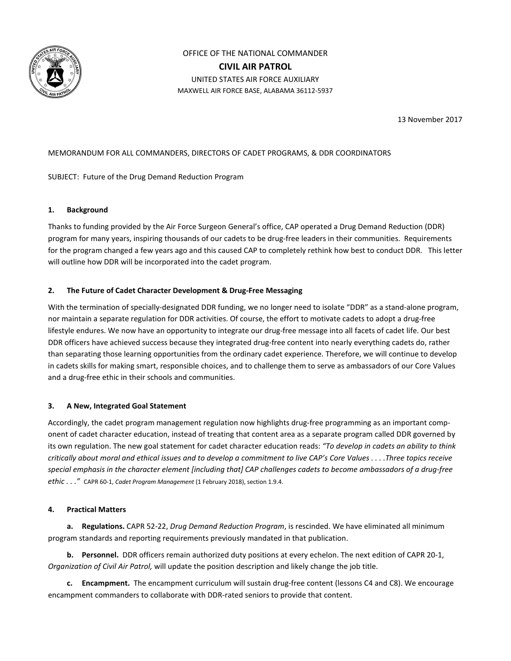

OFFICE OF THE NATIONAL COMMANDER **CIVIL AIR PATROL** UNITED STATES AIR FORCE AUXILIARY MAXWELL AIR FORCE BASE, ALABAMA 36112-5937

13 November 2017

# MEMORANDUM FOR ALL COMMANDERS, DIRECTORS OF CADET PROGRAMS, & DDR COORDINATORS

# SUBJECT: Future of the Drug Demand Reduction Program

#### **1. Background**

Thanks to funding provided by the Air Force Surgeon General's office, CAP operated a Drug Demand Reduction (DDR) program for many years, inspiring thousands of our cadets to be drug-free leaders in their communities. Requirements for the program changed a few years ago and this caused CAP to completely rethink how best to conduct DDR. This letter will outline how DDR will be incorporated into the cadet program.

## **2. The Future of Cadet Character Development & Drug-Free Messaging**

With the termination of specially-designated DDR funding, we no longer need to isolate "DDR" as a stand-alone program, nor maintain a separate regulation for DDR activities. Of course, the effort to motivate cadets to adopt a drug-free lifestyle endures. We now have an opportunity to integrate our drug-free message into all facets of cadet life. Our best DDR officers have achieved success because they integrated drug-free content into nearly everything cadets do, rather than separating those learning opportunities from the ordinary cadet experience. Therefore, we will continue to develop in cadets skills for making smart, responsible choices, and to challenge them to serve as ambassadors of our Core Values and a drug-free ethic in their schools and communities.

## **3. A New, Integrated Goal Statement**

Accordingly, the cadet program management regulation now highlights drug-free programming as an important component of cadet character education, instead of treating that content area as a separate program called DDR governed by its own regulation. The new goal statement for cadet character education reads: *"To develop in cadets an ability to think critically about moral and ethical issues and to develop a commitment to live CAP's Core Values . . . .Three topics receive special emphasis in the character element [including that] CAP challenges cadets to become ambassadors of a drug-free ethic . . ."* CAPR 60-1, *Cadet Program Management* (1 February 2018), section 1.9.4.

## **4. Practical Matters**

**a. Regulations.** CAPR 52-22, *Drug Demand Reduction Program*, is rescinded. We have eliminated all minimum program standards and reporting requirements previously mandated in that publication.

**b. Personnel.** DDR officers remain authorized duty positions at every echelon. The next edition of CAPR 20-1, *Organization of Civil Air Patrol,* will update the position description and likely change the job title.

**c. Encampment.** The encampment curriculum will sustain drug-free content (lessons C4 and C8). We encourage encampment commanders to collaborate with DDR-rated seniors to provide that content.